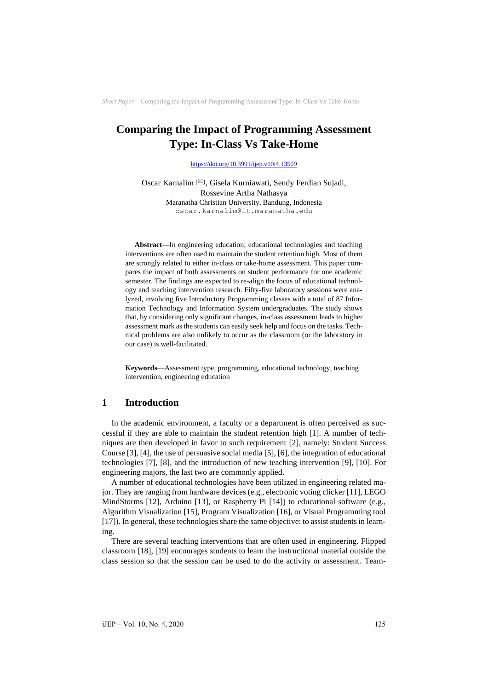# **Comparing the Impact of Programming Assessment Type: In-Class Vs Take-Home**

<https://doi.org/10.3991/ijep.v10i4.13509>

Oscar Karnalim <sup>(⊠)</sup>, Gisela Kurniawati, Sendy Ferdian Sujadi, Rossevine Artha Nathasya Maranatha Christian University, Bandung, Indonesia [oscar.karnalim@it.maranatha.edu](mailto:oscar.karnalim@it.maranatha.edu)

**Abstract**—In engineering education, educational technologies and teaching interventions are often used to maintain the student retention high. Most of them are strongly related to either in-class or take-home assessment. This paper compares the impact of both assessments on student performance for one academic semester. The findings are expected to re-align the focus of educational technology and teaching intervention research. Fifty-five laboratory sessions were analyzed, involving five Introductory Programming classes with a total of 87 Information Technology and Information System undergraduates. The study shows that, by considering only significant changes, in-class assessment leads to higher assessment mark as the students can easily seek help and focus on the tasks. Technical problems are also unlikely to occur as the classroom (or the laboratory in our case) is well-facilitated.

**Keywords**—Assessment type, programming, educational technology, teaching intervention, engineering education

### **1 Introduction**

In the academic environment, a faculty or a department is often perceived as successful if they are able to maintain the student retention high [1]. A number of techniques are then developed in favor to such requirement [2], namely: Student Success Course [3], [4], the use of persuasive social media [5], [6], the integration of educational technologies [7], [8], and the introduction of new teaching intervention [9], [10]. For engineering majors, the last two are commonly applied.

A number of educational technologies have been utilized in engineering related major. They are ranging from hardware devices (e.g., electronic voting clicker [11], LEGO MindStorms [12], Arduino [13], or Raspberry Pi [14]) to educational software (e.g., Algorithm Visualization [15], Program Visualization [16], or Visual Programming tool [17]). In general, these technologies share the same objective: to assist students in learning.

There are several teaching interventions that are often used in engineering. Flipped classroom [18], [19] encourages students to learn the instructional material outside the class session so that the session can be used to do the activity or assessment. Team-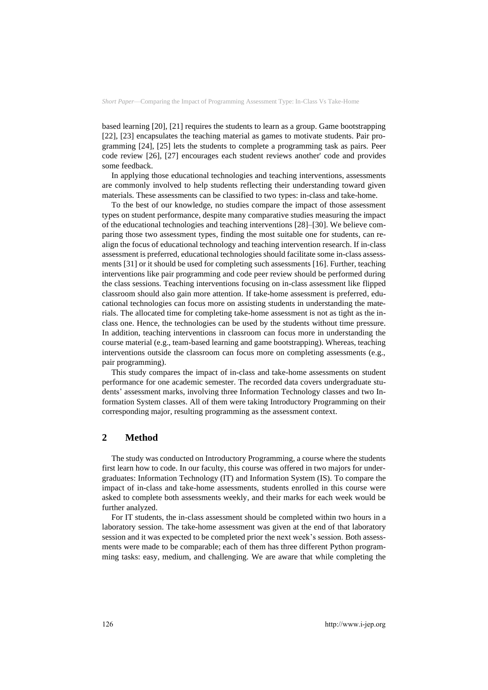based learning [20], [21] requires the students to learn as a group. Game bootstrapping [22], [23] encapsulates the teaching material as games to motivate students. Pair programming [24], [25] lets the students to complete a programming task as pairs. Peer code review [26], [27] encourages each student reviews another' code and provides some feedback.

In applying those educational technologies and teaching interventions, assessments are commonly involved to help students reflecting their understanding toward given materials. These assessments can be classified to two types: in-class and take-home.

To the best of our knowledge, no studies compare the impact of those assessment types on student performance, despite many comparative studies measuring the impact of the educational technologies and teaching interventions [28]–[30]. We believe comparing those two assessment types, finding the most suitable one for students, can realign the focus of educational technology and teaching intervention research. If in-class assessment is preferred, educational technologies should facilitate some in-class assessments [31] or it should be used for completing such assessments [16]. Further, teaching interventions like pair programming and code peer review should be performed during the class sessions. Teaching interventions focusing on in-class assessment like flipped classroom should also gain more attention. If take-home assessment is preferred, educational technologies can focus more on assisting students in understanding the materials. The allocated time for completing take-home assessment is not as tight as the inclass one. Hence, the technologies can be used by the students without time pressure. In addition, teaching interventions in classroom can focus more in understanding the course material (e.g., team-based learning and game bootstrapping). Whereas, teaching interventions outside the classroom can focus more on completing assessments (e.g., pair programming).

This study compares the impact of in-class and take-home assessments on student performance for one academic semester. The recorded data covers undergraduate students' assessment marks, involving three Information Technology classes and two Information System classes. All of them were taking Introductory Programming on their corresponding major, resulting programming as the assessment context.

### **2 Method**

The study was conducted on Introductory Programming, a course where the students first learn how to code. In our faculty, this course was offered in two majors for undergraduates: Information Technology (IT) and Information System (IS). To compare the impact of in-class and take-home assessments, students enrolled in this course were asked to complete both assessments weekly, and their marks for each week would be further analyzed.

For IT students, the in-class assessment should be completed within two hours in a laboratory session. The take-home assessment was given at the end of that laboratory session and it was expected to be completed prior the next week's session. Both assessments were made to be comparable; each of them has three different Python programming tasks: easy, medium, and challenging. We are aware that while completing the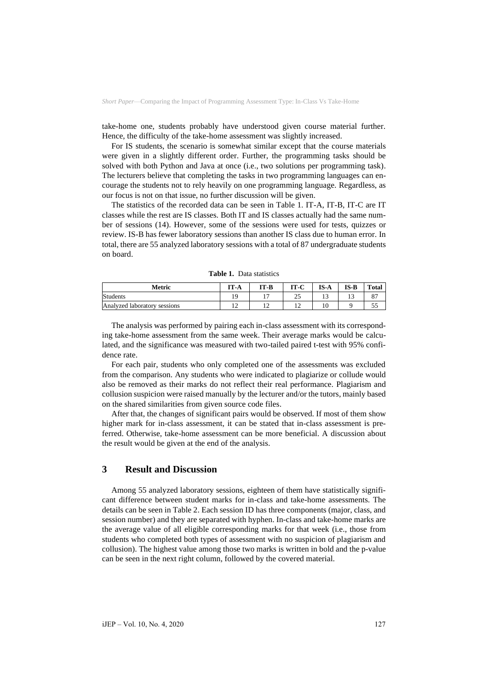take-home one, students probably have understood given course material further. Hence, the difficulty of the take-home assessment was slightly increased.

For IS students, the scenario is somewhat similar except that the course materials were given in a slightly different order. Further, the programming tasks should be solved with both Python and Java at once (i.e., two solutions per programming task). The lecturers believe that completing the tasks in two programming languages can encourage the students not to rely heavily on one programming language. Regardless, as our focus is not on that issue, no further discussion will be given.

The statistics of the recorded data can be seen in Table 1. IT-A, IT-B, IT-C are IT classes while the rest are IS classes. Both IT and IS classes actually had the same number of sessions (14). However, some of the sessions were used for tests, quizzes or review. IS-B has fewer laboratory sessions than another IS class due to human error. In total, there are 55 analyzed laboratory sessions with a total of 87 undergraduate students on board.

| Metric                       | IT-A | IT-B | IT-C     | $IS-A$ | $IS-B$ | <b>Total</b> |
|------------------------------|------|------|----------|--------|--------|--------------|
| <b>Students</b>              |      |      | n E<br>ت |        |        |              |
| Analyzed laboratory sessions |      |      | . .      | 10     |        | ت ب          |

**Table 1.** Data statistics

The analysis was performed by pairing each in-class assessment with its corresponding take-home assessment from the same week. Their average marks would be calculated, and the significance was measured with two-tailed paired t-test with 95% confidence rate.

For each pair, students who only completed one of the assessments was excluded from the comparison. Any students who were indicated to plagiarize or collude would also be removed as their marks do not reflect their real performance. Plagiarism and collusion suspicion were raised manually by the lecturer and/or the tutors, mainly based on the shared similarities from given source code files.

After that, the changes of significant pairs would be observed. If most of them show higher mark for in-class assessment, it can be stated that in-class assessment is preferred. Otherwise, take-home assessment can be more beneficial. A discussion about the result would be given at the end of the analysis.

### **3 Result and Discussion**

Among 55 analyzed laboratory sessions, eighteen of them have statistically significant difference between student marks for in-class and take-home assessments. The details can be seen in Table 2. Each session ID has three components (major, class, and session number) and they are separated with hyphen. In-class and take-home marks are the average value of all eligible corresponding marks for that week (i.e., those from students who completed both types of assessment with no suspicion of plagiarism and collusion). The highest value among those two marks is written in bold and the p-value can be seen in the next right column, followed by the covered material.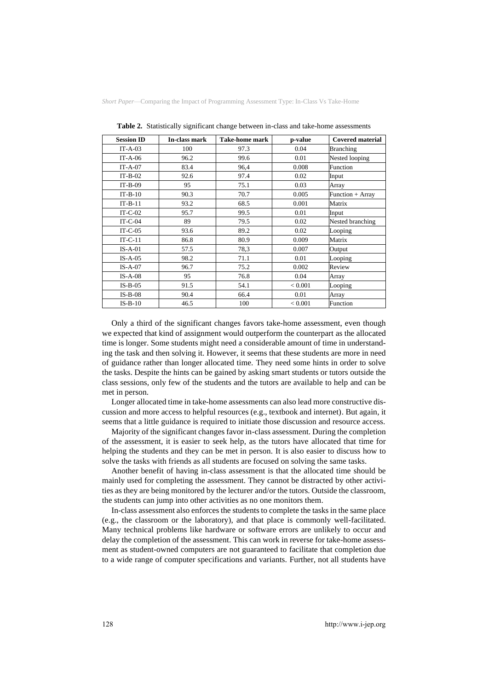| <b>Session ID</b> | In-class mark | <b>Take-home mark</b> | p-value | <b>Covered material</b> |
|-------------------|---------------|-----------------------|---------|-------------------------|
| $IT-A-03$         | 100           | 97.3                  | 0.04    | <b>Branching</b>        |
| $IT-A-06$         | 96.2          | 99.6                  | 0.01    | Nested looping          |
| $IT-A-07$         | 83.4          | 96,4                  | 0.008   | Function                |
| $IT-B-02$         | 92.6          | 97.4                  | 0.02    | Input                   |
| $IT-B-09$         | 95            | 75.1                  | 0.03    | Array                   |
| $IT-B-10$         | 90.3          | 70.7                  | 0.005   | Function + Array        |
| $IT-B-11$         | 93.2          | 68.5                  | 0.001   | Matrix                  |
| $IT-C-02$         | 95.7          | 99.5                  | 0.01    | Input                   |
| $IT-C-04$         | 89            | 79.5                  | 0.02    | Nested branching        |
| $IT-C-05$         | 93.6          | 89.2                  | 0.02    | Looping                 |
| $IT-C-11$         | 86.8          | 80.9                  | 0.009   | Matrix                  |
| $IS-A-01$         | 57.5          | 78,3                  | 0.007   | Output                  |
| $IS-A-05$         | 98.2          | 71.1                  | 0.01    | Looping                 |
| $IS-A-07$         | 96.7          | 75.2                  | 0.002   | Review                  |
| $IS-A-08$         | 95            | 76.8                  | 0.04    | Array                   |
| $IS-B-05$         | 91.5          | 54.1                  | < 0.001 | Looping                 |
| $IS-B-08$         | 90.4          | 66.4                  | 0.01    | Array                   |
| $IS-B-10$         | 46.5          | 100                   | < 0.001 | Function                |

**Table 2.** Statistically significant change between in-class and take-home assessments

Only a third of the significant changes favors take-home assessment, even though we expected that kind of assignment would outperform the counterpart as the allocated time is longer. Some students might need a considerable amount of time in understanding the task and then solving it. However, it seems that these students are more in need of guidance rather than longer allocated time. They need some hints in order to solve the tasks. Despite the hints can be gained by asking smart students or tutors outside the class sessions, only few of the students and the tutors are available to help and can be met in person.

Longer allocated time in take-home assessments can also lead more constructive discussion and more access to helpful resources (e.g., textbook and internet). But again, it seems that a little guidance is required to initiate those discussion and resource access.

Majority of the significant changes favor in-class assessment. During the completion of the assessment, it is easier to seek help, as the tutors have allocated that time for helping the students and they can be met in person. It is also easier to discuss how to solve the tasks with friends as all students are focused on solving the same tasks.

Another benefit of having in-class assessment is that the allocated time should be mainly used for completing the assessment. They cannot be distracted by other activities as they are being monitored by the lecturer and/or the tutors. Outside the classroom, the students can jump into other activities as no one monitors them.

In-class assessment also enforces the students to complete the tasks in the same place (e.g., the classroom or the laboratory), and that place is commonly well-facilitated. Many technical problems like hardware or software errors are unlikely to occur and delay the completion of the assessment. This can work in reverse for take-home assessment as student-owned computers are not guaranteed to facilitate that completion due to a wide range of computer specifications and variants. Further, not all students have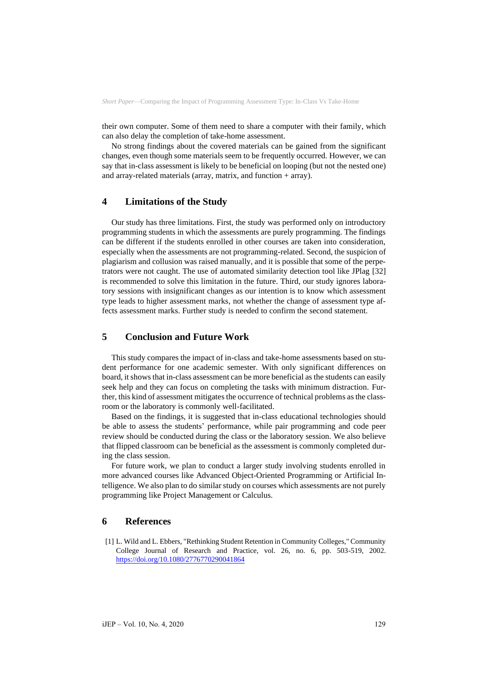their own computer. Some of them need to share a computer with their family, which can also delay the completion of take-home assessment.

No strong findings about the covered materials can be gained from the significant changes, even though some materials seem to be frequently occurred. However, we can say that in-class assessment is likely to be beneficial on looping (but not the nested one) and array-related materials (array, matrix, and function + array).

## **4 Limitations of the Study**

Our study has three limitations. First, the study was performed only on introductory programming students in which the assessments are purely programming. The findings can be different if the students enrolled in other courses are taken into consideration, especially when the assessments are not programming-related. Second, the suspicion of plagiarism and collusion was raised manually, and it is possible that some of the perpetrators were not caught. The use of automated similarity detection tool like JPlag [32] is recommended to solve this limitation in the future. Third, our study ignores laboratory sessions with insignificant changes as our intention is to know which assessment type leads to higher assessment marks, not whether the change of assessment type affects assessment marks. Further study is needed to confirm the second statement.

# **5 Conclusion and Future Work**

This study compares the impact of in-class and take-home assessments based on student performance for one academic semester. With only significant differences on board, it shows that in-class assessment can be more beneficial as the students can easily seek help and they can focus on completing the tasks with minimum distraction. Further, this kind of assessment mitigates the occurrence of technical problems as the classroom or the laboratory is commonly well-facilitated.

Based on the findings, it is suggested that in-class educational technologies should be able to assess the students' performance, while pair programming and code peer review should be conducted during the class or the laboratory session. We also believe that flipped classroom can be beneficial as the assessment is commonly completed during the class session.

For future work, we plan to conduct a larger study involving students enrolled in more advanced courses like Advanced Object-Oriented Programming or Artificial Intelligence. We also plan to do similar study on courses which assessments are not purely programming like Project Management or Calculus.

#### **6 References**

[1] L. Wild and L. Ebbers, "Rethinking Student Retention in Community Colleges," Community College Journal of Research and Practice, vol. 26, no. 6, pp. 503-519, 2002. <https://doi.org/10.1080/2776770290041864>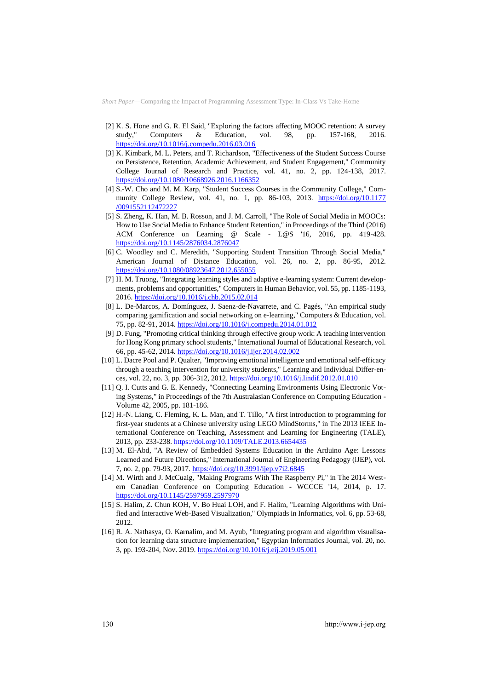- [2] K. S. Hone and G. R. El Said, "Exploring the factors affecting MOOC retention: A survey study," Computers & Education, vol. 98, pp. 157-168, 2016. <https://doi.org/10.1016/j.compedu.2016.03.016>
- [3] K. Kimbark, M. L. Peters, and T. Richardson, "Effectiveness of the Student Success Course on Persistence, Retention, Academic Achievement, and Student Engagement," Community College Journal of Research and Practice, vol. 41, no. 2, pp. 124-138, 2017. <https://doi.org/10.1080/10668926.2016.1166352>
- [4] S.-W. Cho and M. M. Karp, "Student Success Courses in the Community College," Community College Review, vol. 41, no. 1, pp. 86-103, 2013. [https://doi.org/10.1177](https://doi.org/10.1177/0091552112472227) [/0091552112472227](https://doi.org/10.1177/0091552112472227)
- [5] S. Zheng, K. Han, M. B. Rosson, and J. M. Carroll, "The Role of Social Media in MOOCs: How to Use Social Media to Enhance Student Retention," in Proceedings of the Third (2016) ACM Conference on Learning @ Scale - L@S '16, 2016, pp. 419-428. <https://doi.org/10.1145/2876034.2876047>
- [6] C. Woodley and C. Meredith, "Supporting Student Transition Through Social Media," American Journal of Distance Education, vol. 26, no. 2, pp. 86-95, 2012. <https://doi.org/10.1080/08923647.2012.655055>
- [7] H. M. Truong, "Integrating learning styles and adaptive e-learning system: Current developments, problems and opportunities," Computers in Human Behavior, vol. 55, pp. 1185-1193, 2016.<https://doi.org/10.1016/j.chb.2015.02.014>
- [8] L. De-Marcos, A. Domínguez, J. Saenz-de-Navarrete, and C. Pagés, "An empirical study comparing gamification and social networking on e-learning," Computers & Education, vol. 75, pp. 82-91, 2014[. https://doi.org/10.1016/j.compedu.2014.01.012](https://doi.org/10.1016/j.compedu.2014.01.012)
- [9] D. Fung, "Promoting critical thinking through effective group work: A teaching intervention for Hong Kong primary school students," International Journal of Educational Research, vol. 66, pp. 45-62, 2014[. https://doi.org/10.1016/j.ijer.2014.02.002](https://doi.org/10.1016/j.ijer.2014.02.002)
- [10] L. Dacre Pool and P. Qualter, "Improving emotional intelligence and emotional self-efficacy through a teaching intervention for university students," Learning and Individual Differ-ences, vol. 22, no. 3, pp. 306-312, 2012.<https://doi.org/10.1016/j.lindif.2012.01.010>
- [11] Q. I. Cutts and G. E. Kennedy, "Connecting Learning Environments Using Electronic Voting Systems," in Proceedings of the 7th Australasian Conference on Computing Education - Volume 42, 2005, pp. 181-186.
- [12] H.-N. Liang, C. Fleming, K. L. Man, and T. Tillo, "A first introduction to programming for first-year students at a Chinese university using LEGO MindStorms," in The 2013 IEEE International Conference on Teaching, Assessment and Learning for Engineering (TALE), 2013, pp. 233-238[. https://doi.org/10.1109/TALE.2013.6654435](https://doi.org/10.1109/TALE.2013.6654435)
- [13] M. El-Abd, "A Review of Embedded Systems Education in the Arduino Age: Lessons Learned and Future Directions," International Journal of Engineering Pedagogy (iJEP), vol. 7, no. 2, pp. 79-93, 2017[. https://doi.org/10.3991/ijep.v7i2.6845](https://doi.org/10.3991/ijep.v7i2.6845)
- [14] M. Wirth and J. McCuaig, "Making Programs With The Raspberry Pi," in The 2014 Western Canadian Conference on Computing Education - WCCCE '14, 2014, p. 17. <https://doi.org/10.1145/2597959.2597970>
- [15] S. Halim, Z. Chun KOH, V. Bo Huai LOH, and F. Halim, "Learning Algorithms with Unified and Interactive Web-Based Visualization," Olympiads in Informatics, vol. 6, pp. 53-68, 2012.
- [16] R. A. Nathasya, O. Karnalim, and M. Ayub, "Integrating program and algorithm visualisation for learning data structure implementation," Egyptian Informatics Journal, vol. 20, no. 3, pp. 193-204, Nov. 2019.<https://doi.org/10.1016/j.eij.2019.05.001>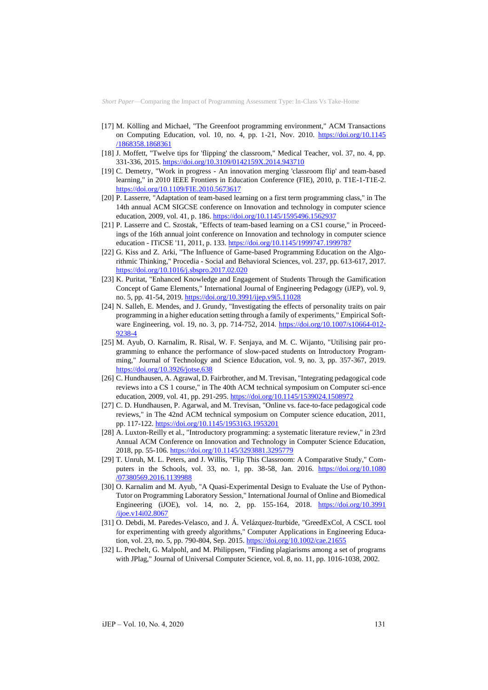- [17] M. Kölling and Michael, "The Greenfoot programming environment," ACM Transactions on Computing Education, vol. 10, no. 4, pp. 1-21, Nov. 2010. [https://doi.org/10.1145](https://doi.org/10.1145/1868358.1868361) [/1868358.1868361](https://doi.org/10.1145/1868358.1868361)
- [18] J. Moffett, "Twelve tips for 'flipping' the classroom," Medical Teacher, vol. 37, no. 4, pp. 331-336, 2015[. https://doi.org/10.3109/0142159X.2014.943710](https://doi.org/10.3109/0142159X.2014.943710)
- [19] C. Demetry, "Work in progress An innovation merging 'classroom flip' and team-based learning," in 2010 IEEE Frontiers in Education Conference (FIE), 2010, p. T1E-1-T1E-2. <https://doi.org/10.1109/FIE.2010.5673617>
- [20] P. Lasserre, "Adaptation of team-based learning on a first term programming class," in The 14th annual ACM SIGCSE conference on Innovation and technology in computer science education, 2009, vol. 41, p. 186.<https://doi.org/10.1145/1595496.1562937>
- [21] P. Lasserre and C. Szostak, "Effects of team-based learning on a CS1 course," in Proceedings of the 16th annual joint conference on Innovation and technology in computer science education - ITiCSE '11, 2011, p. 133[. https://doi.org/10.1145/1999747.1999787](https://doi.org/10.1145/1999747.1999787)
- [22] G. Kiss and Z. Arki, "The Influence of Game-based Programming Education on the Algorithmic Thinking," Procedia - Social and Behavioral Sciences, vol. 237, pp. 613-617, 2017. <https://doi.org/10.1016/j.sbspro.2017.02.020>
- [23] K. Puritat, "Enhanced Knowledge and Engagement of Students Through the Gamification Concept of Game Elements," International Journal of Engineering Pedagogy (iJEP), vol. 9, no. 5, pp. 41-54, 2019[. https://doi.org/10.3991/ijep.v9i5.11028](https://doi.org/10.3991/ijep.v9i5.11028)
- [24] N. Salleh, E. Mendes, and J. Grundy, "Investigating the effects of personality traits on pair programming in a higher education setting through a family of experiments," Empirical Software Engineering, vol. 19, no. 3, pp. 714-752, 2014. [https://doi.org/10.1007/s10664-012-](https://doi.org/10.1007/s10664-012-9238-4) [9238-4](https://doi.org/10.1007/s10664-012-9238-4)
- [25] M. Ayub, O. Karnalim, R. Risal, W. F. Senjaya, and M. C. Wijanto, "Utilising pair programming to enhance the performance of slow-paced students on Introductory Programming," Journal of Technology and Science Education, vol. 9, no. 3, pp. 357-367, 2019. <https://doi.org/10.3926/jotse.638>
- [26] C. Hundhausen, A. Agrawal, D. Fairbrother, and M. Trevisan, "Integrating pedagogical code reviews into a CS 1 course," in The 40th ACM technical symposium on Computer sci-ence education, 2009, vol. 41, pp. 291-295.<https://doi.org/10.1145/1539024.1508972>
- [27] C. D. Hundhausen, P. Agarwal, and M. Trevisan, "Online vs. face-to-face pedagogical code reviews," in The 42nd ACM technical symposium on Computer science education, 2011, pp. 117-122[. https://doi.org/10.1145/1953163.1953201](https://doi.org/10.1145/1953163.1953201)
- [28] A. Luxton-Reilly et al., "Introductory programming: a systematic literature review," in 23rd Annual ACM Conference on Innovation and Technology in Computer Science Education, 2018, pp. 55-106[. https://doi.org/10.1145/3293881.3295779](https://doi.org/10.1145/3293881.3295779)
- [29] T. Unruh, M. L. Peters, and J. Willis, "Flip This Classroom: A Comparative Study," Computers in the Schools, vol. 33, no. 1, pp. 38-58, Jan. 2016. [https://doi.org/10.1080](https://doi.org/10.1080/07380569.2016.1139988) [/07380569.2016.1139988](https://doi.org/10.1080/07380569.2016.1139988)
- [30] O. Karnalim and M. Ayub, "A Quasi-Experimental Design to Evaluate the Use of Python-Tutor on Programming Laboratory Session," International Journal of Online and Biomedical Engineering (iJOE), vol. 14, no. 2, pp. 155-164, 2018. [https://doi.org/10.3991](https://doi.org/10.3991/ijoe.v14i02.8067) [/ijoe.v14i02.8067](https://doi.org/10.3991/ijoe.v14i02.8067)
- [31] O. Debdi, M. Paredes-Velasco, and J. Á. Velázquez-Iturbide, "GreedExCol, A CSCL tool for experimenting with greedy algorithms," Computer Applications in Engineering Educa-tion, vol. 23, no. 5, pp. 790-804, Sep. 2015[. https://doi.org/10.1002/cae.21655](https://doi.org/10.1002/cae.21655)
- [32] L. Prechelt, G. Malpohl, and M. Philippsen, "Finding plagiarisms among a set of programs with JPlag," Journal of Universal Computer Science, vol. 8, no. 11, pp. 1016-1038, 2002.